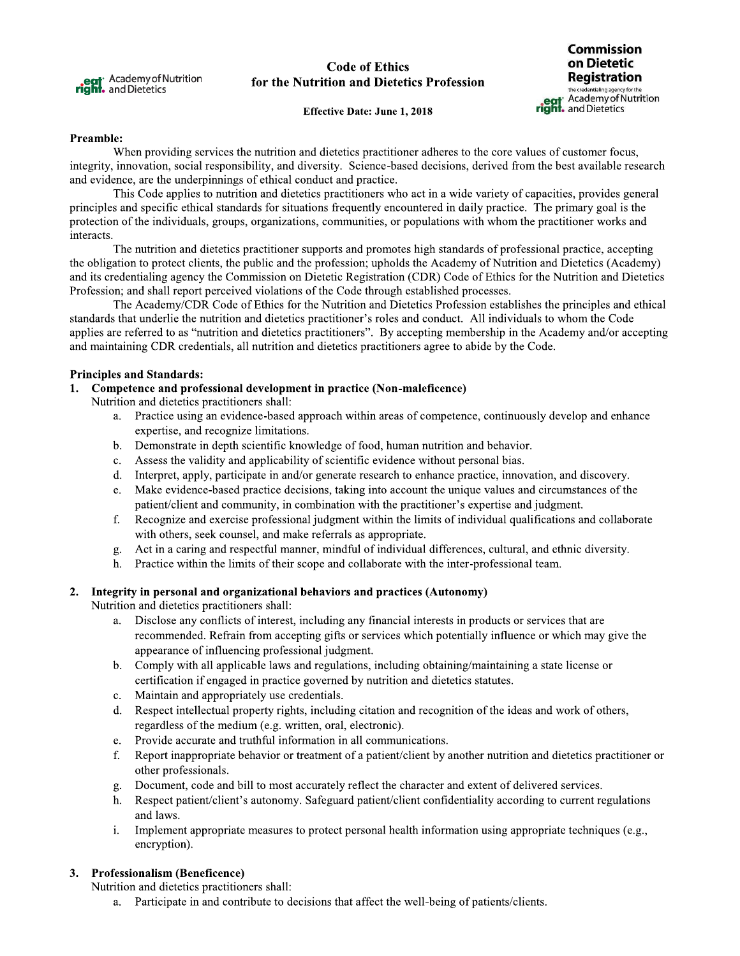

# **Code of Ethics** for the Nutrition and Dietetics Profession

**Commission** on Dietetic **Registration** the credentialing agency for the<br>Academy of Nutrition right. and Dietetics

## **Effective Date: June 1, 2018**

#### Preamble:

When providing services the nutrition and dietetics practitioner adheres to the core values of customer focus, integrity, innovation, social responsibility, and diversity. Science-based decisions, derived from the best available research and evidence, are the underpinnings of ethical conduct and practice.

This Code applies to nutrition and dietetics practitioners who act in a wide variety of capacities, provides general principles and specific ethical standards for situations frequently encountered in daily practice. The primary goal is the protection of the individuals, groups, organizations, communities, or populations with whom the practitioner works and interacts.

The nutrition and dietetics practitioner supports and promotes high standards of professional practice, accepting the obligation to protect clients, the public and the profession; upholds the Academy of Nutrition and Dietetics (Academy) and its credentialing agency the Commission on Dietetic Registration (CDR) Code of Ethics for the Nutrition and Dietetics Profession; and shall report perceived violations of the Code through established processes.

The Academy/CDR Code of Ethics for the Nutrition and Dietetics Profession establishes the principles and ethical standards that underlie the nutrition and dietetics practitioner's roles and conduct. All individuals to whom the Code applies are referred to as "nutrition and dietetics practitioners". By accepting membership in the Academy and/or accepting and maintaining CDR credentials, all nutrition and dietetics practitioners agree to abide by the Code.

### **Principles and Standards:**

1. Competence and professional development in practice (Non-maleficence)

Nutrition and dietetics practitioners shall:

- $a^{\dagger}$ Practice using an evidence-based approach within areas of competence, continuously develop and enhance expertise, and recognize limitations.
- b. Demonstrate in depth scientific knowledge of food, human nutrition and behavior.
- Assess the validity and applicability of scientific evidence without personal bias.  $c.$
- $d.$ Interpret, apply, participate in and/or generate research to enhance practice, innovation, and discovery.
- Make evidence-based practice decisions, taking into account the unique values and circumstances of the e. patient/client and community, in combination with the practitioner's expertise and judgment.
- f. Recognize and exercise professional judgment within the limits of individual qualifications and collaborate with others, seek counsel, and make referrals as appropriate.
- Act in a caring and respectful manner, mindful of individual differences, cultural, and ethnic diversity. g.
- Practice within the limits of their scope and collaborate with the inter-professional team.  $h_{\cdot}$

#### 2. Integrity in personal and organizational behaviors and practices (Autonomy)

Nutrition and dietetics practitioners shall:

- Disclose any conflicts of interest, including any financial interests in products or services that are a. recommended. Refrain from accepting gifts or services which potentially influence or which may give the appearance of influencing professional judgment.
- $b.$ Comply with all applicable laws and regulations, including obtaining/maintaining a state license or certification if engaged in practice governed by nutrition and dietetics statutes.
- $\mathbf{c}$ . Maintain and appropriately use credentials.
- d. Respect intellectual property rights, including citation and recognition of the ideas and work of others, regardless of the medium (e.g. written, oral, electronic).
- Provide accurate and truthful information in all communications. e.
- f. Report inappropriate behavior or treatment of a patient/client by another nutrition and dietetics practitioner or other professionals.
- Document, code and bill to most accurately reflect the character and extent of delivered services. g.
- h. Respect patient/client's autonomy. Safeguard patient/client confidentiality according to current regulations and laws.
- Implement appropriate measures to protect personal health information using appropriate techniques (e.g., i. encryption).

## 3. Professionalism (Beneficence)

Nutrition and dietetics practitioners shall:

Participate in and contribute to decisions that affect the well-being of patients/clients.  $a^{\dagger}$